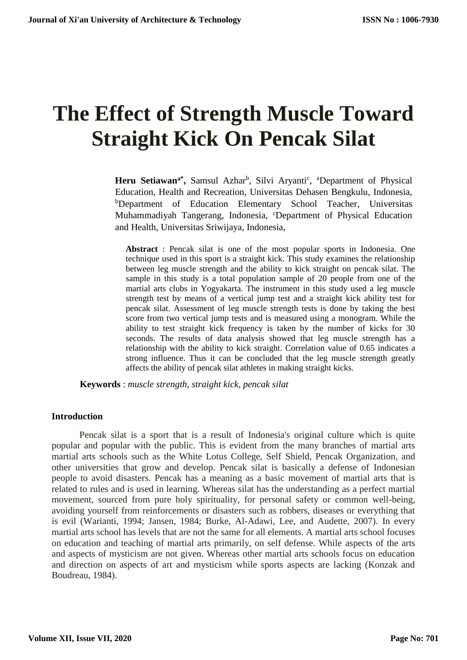# **The Effect of Strength Muscle Toward Straight Kick On Pencak Silat**

Heru Setiawan<sup>a\*</sup>, Samsul Azhar<sup>b</sup>, Silvi Aryanti<sup>c</sup>, <sup>a</sup>Department of Physical Education, Health and Recreation, Universitas Dehasen Bengkulu, Indonesia, <sup>b</sup>Department of Education Elementary School Teacher, Universitas Muhammadiyah Tangerang, Indonesia, <sup>c</sup>Department of Physical Education and Health, Universitas Sriwijaya, Indonesia,

**Abstract** : Pencak silat is one of the most popular sports in Indonesia. One technique used in this sport is a straight kick. This study examines the relationship between leg muscle strength and the ability to kick straight on pencak silat. The sample in this study is a total population sample of 20 people from one of the martial arts clubs in Yogyakarta. The instrument in this study used a leg muscle strength test by means of a vertical jump test and a straight kick ability test for pencak silat. Assessment of leg muscle strength tests is done by taking the best score from two vertical jump tests and is measured using a monogram. While the ability to test straight kick frequency is taken by the number of kicks for 30 seconds. The results of data analysis showed that leg muscle strength has a relationship with the ability to kick straight. Correlation value of 0.65 indicates a strong influence. Thus it can be concluded that the leg muscle strength greatly affects the ability of pencak silat athletes in making straight kicks.

**Keywords** : *muscle strength, straight kick, pencak silat*

# **Introduction**

Pencak silat is a sport that is a result of Indonesia's original culture which is quite popular and popular with the public. This is evident from the many branches of martial arts martial arts schools such as the White Lotus College, Self Shield, Pencak Organization, and other universities that grow and develop. Pencak silat is basically a defense of Indonesian people to avoid disasters. Pencak has a meaning as a basic movement of martial arts that is related to rules and is used in learning. Whereas silat has the understanding as a perfect martial movement, sourced from pure holy spirituality, for personal safety or common well-being, avoiding yourself from reinforcements or disasters such as robbers, diseases or everything that is evil (Warianti, 1994; Jansen, 1984; Burke, Al-Adawi, Lee, and Audette, 2007). In every martial arts school has levels that are not the same for all elements. A martial arts school focuses on education and teaching of martial arts primarily, on self defense. While aspects of the arts and aspects of mysticism are not given. Whereas other martial arts schools focus on education and direction on aspects of art and mysticism while sports aspects are lacking (Konzak and Boudreau, 1984).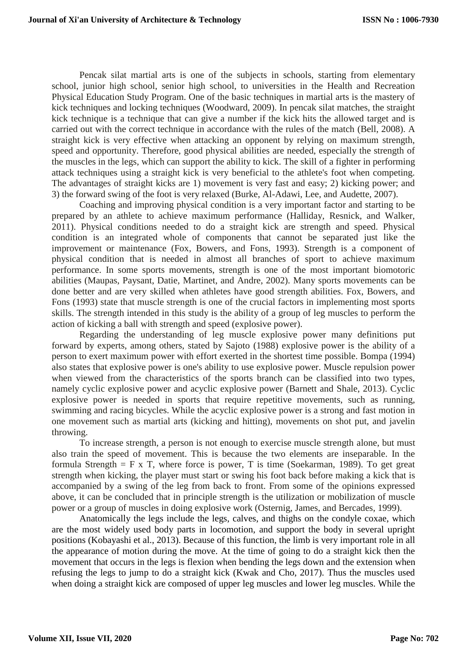Pencak silat martial arts is one of the subjects in schools, starting from elementary school, junior high school, senior high school, to universities in the Health and Recreation Physical Education Study Program. One of the basic techniques in martial arts is the mastery of kick techniques and locking techniques (Woodward, 2009). In pencak silat matches, the straight kick technique is a technique that can give a number if the kick hits the allowed target and is carried out with the correct technique in accordance with the rules of the match (Bell, 2008). A straight kick is very effective when attacking an opponent by relying on maximum strength, speed and opportunity. Therefore, good physical abilities are needed, especially the strength of the muscles in the legs, which can support the ability to kick. The skill of a fighter in performing attack techniques using a straight kick is very beneficial to the athlete's foot when competing. The advantages of straight kicks are 1) movement is very fast and easy; 2) kicking power; and 3) the forward swing of the foot is very relaxed (Burke, Al-Adawi, Lee, and Audette, 2007).

Coaching and improving physical condition is a very important factor and starting to be prepared by an athlete to achieve maximum performance (Halliday, Resnick, and Walker, 2011). Physical conditions needed to do a straight kick are strength and speed. Physical condition is an integrated whole of components that cannot be separated just like the improvement or maintenance (Fox, Bowers, and Fons, 1993). Strength is a component of physical condition that is needed in almost all branches of sport to achieve maximum performance. In some sports movements, strength is one of the most important biomotoric abilities (Maupas, Paysant, Datie, Martinet, and Andre, 2002). Many sports movements can be done better and are very skilled when athletes have good strength abilities. Fox, Bowers, and Fons (1993) state that muscle strength is one of the crucial factors in implementing most sports skills. The strength intended in this study is the ability of a group of leg muscles to perform the action of kicking a ball with strength and speed (explosive power).

Regarding the understanding of leg muscle explosive power many definitions put forward by experts, among others, stated by Sajoto (1988) explosive power is the ability of a person to exert maximum power with effort exerted in the shortest time possible. Bompa (1994) also states that explosive power is one's ability to use explosive power. Muscle repulsion power when viewed from the characteristics of the sports branch can be classified into two types, namely cyclic explosive power and acyclic explosive power (Barnett and Shale, 2013). Cyclic explosive power is needed in sports that require repetitive movements, such as running, swimming and racing bicycles. While the acyclic explosive power is a strong and fast motion in one movement such as martial arts (kicking and hitting), movements on shot put, and javelin throwing.

To increase strength, a person is not enough to exercise muscle strength alone, but must also train the speed of movement. This is because the two elements are inseparable. In the formula Strength  $=$  F x T, where force is power, T is time (Soekarman, 1989). To get great strength when kicking, the player must start or swing his foot back before making a kick that is accompanied by a swing of the leg from back to front. From some of the opinions expressed above, it can be concluded that in principle strength is the utilization or mobilization of muscle power or a group of muscles in doing explosive work (Osternig, James, and Bercades, 1999).

Anatomically the legs include the legs, calves, and thighs on the condyle coxae, which are the most widely used body parts in locomotion, and support the body in several upright positions (Kobayashi et al., 2013). Because of this function, the limb is very important role in all the appearance of motion during the move. At the time of going to do a straight kick then the movement that occurs in the legs is flexion when bending the legs down and the extension when refusing the legs to jump to do a straight kick (Kwak and Cho, 2017). Thus the muscles used when doing a straight kick are composed of upper leg muscles and lower leg muscles. While the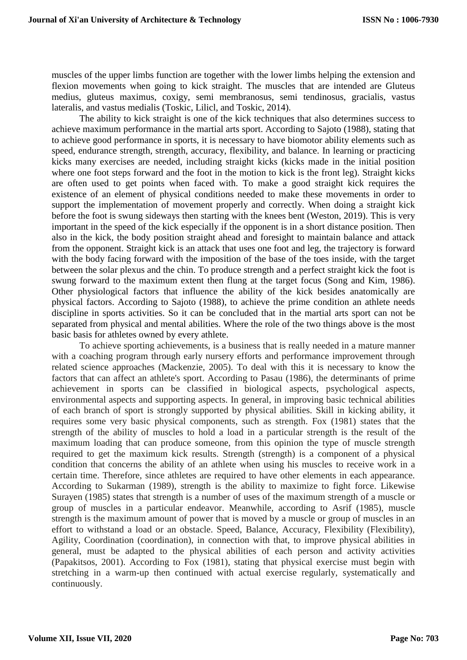muscles of the upper limbs function are together with the lower limbs helping the extension and flexion movements when going to kick straight. The muscles that are intended are Gluteus medius, gluteus maximus, coxigy, semi membranosus, semi tendinosus, gracialis, vastus lateralis, and vastus medialis (Toskic, Lilicl, and Toskic, 2014).

The ability to kick straight is one of the kick techniques that also determines success to achieve maximum performance in the martial arts sport. According to Sajoto (1988), stating that to achieve good performance in sports, it is necessary to have biomotor ability elements such as speed, endurance strength, strength, accuracy, flexibility, and balance. In learning or practicing kicks many exercises are needed, including straight kicks (kicks made in the initial position where one foot steps forward and the foot in the motion to kick is the front leg). Straight kicks are often used to get points when faced with. To make a good straight kick requires the existence of an element of physical conditions needed to make these movements in order to support the implementation of movement properly and correctly. When doing a straight kick before the foot is swung sideways then starting with the knees bent (Weston, 2019). This is very important in the speed of the kick especially if the opponent is in a short distance position. Then also in the kick, the body position straight ahead and foresight to maintain balance and attack from the opponent. Straight kick is an attack that uses one foot and leg, the trajectory is forward with the body facing forward with the imposition of the base of the toes inside, with the target between the solar plexus and the chin. To produce strength and a perfect straight kick the foot is swung forward to the maximum extent then flung at the target focus (Song and Kim, 1986). Other physiological factors that influence the ability of the kick besides anatomically are physical factors. According to Sajoto (1988), to achieve the prime condition an athlete needs discipline in sports activities. So it can be concluded that in the martial arts sport can not be separated from physical and mental abilities. Where the role of the two things above is the most basic basis for athletes owned by every athlete.

To achieve sporting achievements, is a business that is really needed in a mature manner with a coaching program through early nursery efforts and performance improvement through related science approaches (Mackenzie, 2005). To deal with this it is necessary to know the factors that can affect an athlete's sport. According to Pasau (1986), the determinants of prime achievement in sports can be classified in biological aspects, psychological aspects, environmental aspects and supporting aspects. In general, in improving basic technical abilities of each branch of sport is strongly supported by physical abilities. Skill in kicking ability, it requires some very basic physical components, such as strength. Fox (1981) states that the strength of the ability of muscles to hold a load in a particular strength is the result of the maximum loading that can produce someone, from this opinion the type of muscle strength required to get the maximum kick results. Strength (strength) is a component of a physical condition that concerns the ability of an athlete when using his muscles to receive work in a certain time. Therefore, since athletes are required to have other elements in each appearance. According to Sukarman (1989), strength is the ability to maximize to fight force. Likewise Surayen (1985) states that strength is a number of uses of the maximum strength of a muscle or group of muscles in a particular endeavor. Meanwhile, according to Asrif (1985), muscle strength is the maximum amount of power that is moved by a muscle or group of muscles in an effort to withstand a load or an obstacle. Speed, Balance, Accuracy, Flexibility (Flexibility), Agility, Coordination (coordination), in connection with that, to improve physical abilities in general, must be adapted to the physical abilities of each person and activity activities (Papakitsos, 2001). According to Fox (1981), stating that physical exercise must begin with stretching in a warm-up then continued with actual exercise regularly, systematically and continuously.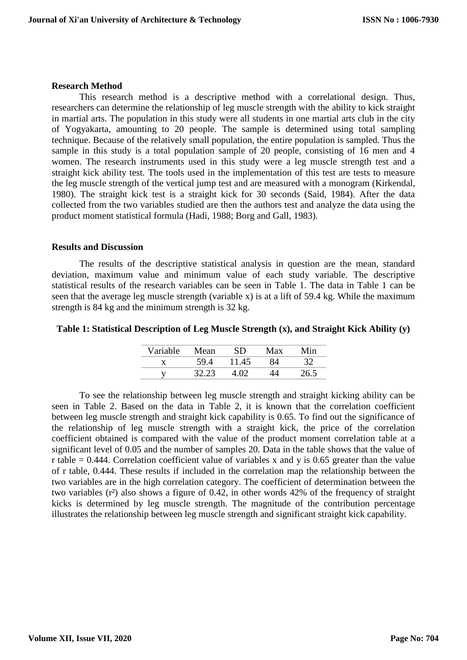#### **Research Method**

This research method is a descriptive method with a correlational design. Thus, researchers can determine the relationship of leg muscle strength with the ability to kick straight in martial arts. The population in this study were all students in one martial arts club in the city of Yogyakarta, amounting to 20 people. The sample is determined using total sampling technique. Because of the relatively small population, the entire population is sampled. Thus the sample in this study is a total population sample of 20 people, consisting of 16 men and 4 women. The research instruments used in this study were a leg muscle strength test and a straight kick ability test. The tools used in the implementation of this test are tests to measure the leg muscle strength of the vertical jump test and are measured with a monogram (Kirkendal, 1980). The straight kick test is a straight kick for 30 seconds (Said, 1984). After the data collected from the two variables studied are then the authors test and analyze the data using the product moment statistical formula (Hadi, 1988; Borg and Gall, 1983).

#### **Results and Discussion**

The results of the descriptive statistical analysis in question are the mean, standard deviation, maximum value and minimum value of each study variable. The descriptive statistical results of the research variables can be seen in Table 1. The data in Table 1 can be seen that the average leg muscle strength (variable x) is at a lift of 59.4 kg. While the maximum strength is 84 kg and the minimum strength is 32 kg.

## **Table 1: Statistical Description of Leg Muscle Strength (x), and Straight Kick Ability (y)**

| Variable | Mean  | ĩD.   | Max | Min  |
|----------|-------|-------|-----|------|
|          | 59.4  | 11.45 | 34  |      |
|          | 37 73 | ന     |     | 26.5 |

To see the relationship between leg muscle strength and straight kicking ability can be seen in Table 2. Based on the data in Table 2, it is known that the correlation coefficient between leg muscle strength and straight kick capability is 0.65. To find out the significance of the relationship of leg muscle strength with a straight kick, the price of the correlation coefficient obtained is compared with the value of the product moment correlation table at a significant level of 0.05 and the number of samples 20. Data in the table shows that the value of r table  $= 0.444$ . Correlation coefficient value of variables x and y is 0.65 greater than the value of r table, 0.444. These results if included in the correlation map the relationship between the two variables are in the high correlation category. The coefficient of determination between the two variables  $(r^2)$  also shows a figure of 0.42, in other words 42% of the frequency of straight kicks is determined by leg muscle strength. The magnitude of the contribution percentage illustrates the relationship between leg muscle strength and significant straight kick capability.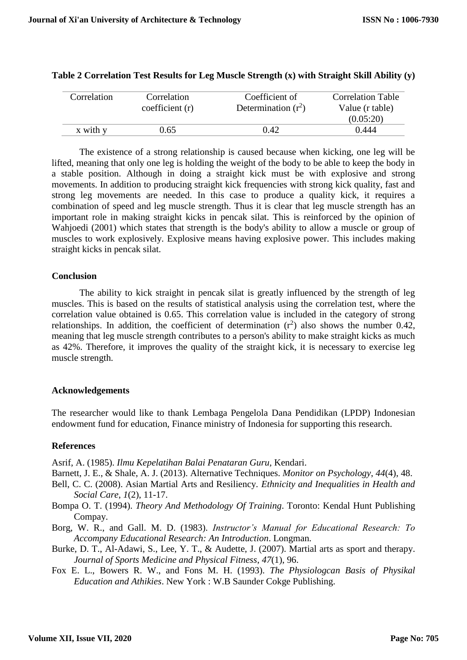| Correlation | Correlation<br>coefficient(r) | Coefficient of<br>Determination $(r^2)$ | <b>Correlation Table</b><br>Value (r table) |
|-------------|-------------------------------|-----------------------------------------|---------------------------------------------|
|             |                               |                                         | (0.05:20)                                   |
| x with y    | 0.65                          | 0.42                                    | 0.444                                       |

| Table 2 Correlation Test Results for Leg Muscle Strength (x) with Straight Skill Ability (y) |  |  |  |  |
|----------------------------------------------------------------------------------------------|--|--|--|--|
|----------------------------------------------------------------------------------------------|--|--|--|--|

The existence of a strong relationship is caused because when kicking, one leg will be lifted, meaning that only one leg is holding the weight of the body to be able to keep the body in a stable position. Although in doing a straight kick must be with explosive and strong movements. In addition to producing straight kick frequencies with strong kick quality, fast and strong leg movements are needed. In this case to produce a quality kick, it requires a combination of speed and leg muscle strength. Thus it is clear that leg muscle strength has an important role in making straight kicks in pencak silat. This is reinforced by the opinion of Wahjoedi (2001) which states that strength is the body's ability to allow a muscle or group of muscles to work explosively. Explosive means having explosive power. This includes making straight kicks in pencak silat.

## **Conclusion**

The ability to kick straight in pencak silat is greatly influenced by the strength of leg muscles. This is based on the results of statistical analysis using the correlation test, where the correlation value obtained is 0.65. This correlation value is included in the category of strong relationships. In addition, the coefficient of determination  $(r^2)$  also shows the number 0.42, meaning that leg muscle strength contributes to a person's ability to make straight kicks as much as 42%. Therefore, it improves the quality of the straight kick, it is necessary to exercise leg muscle strength.

#### **Acknowledgements**

The researcher would like to thank Lembaga Pengelola Dana Pendidikan (LPDP) Indonesian endowment fund for education, Finance ministry of Indonesia for supporting this research.

# **References**

Asrif, A. (1985). *Ilmu Kepelatihan Balai Penataran Guru,* Kendari.

- Barnett, J. E., & Shale, A. J. (2013). Alternative Techniques. *Monitor on Psychology*, *44*(4), 48.
- Bell, C. C. (2008). Asian Martial Arts and Resiliency. *Ethnicity and Inequalities in Health and Social Care*, *1*(2), 11-17.
- Bompa O. T. (1994). *Theory And Methodology Of Training*. Toronto: Kendal Hunt Publishing Compay.
- Borg, W. R., and Gall. M. D. (1983). *Instructor's Manual for Educational Research: To Accompany Educational Research: An Introduction*. Longman.
- Burke, D. T., Al-Adawi, S., Lee, Y. T., & Audette, J. (2007). Martial arts as sport and therapy. *Journal of Sports Medicine and Physical Fitness*, *47*(1), 96.
- Fox E. L., Bowers R. W., and Fons M. H. (1993). *The Physiologcan Basis of Physikal Education and Athikies*. New York : W.B Saunder Cokge Publishing.